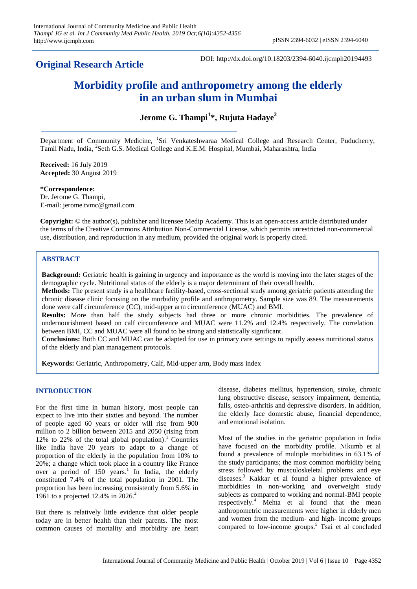# **Original Research Article**

DOI: http://dx.doi.org/10.18203/2394-6040.ijcmph20194493

# **Morbidity profile and anthropometry among the elderly in an urban slum in Mumbai**

**Jerome G. Thampi<sup>1</sup> \*, Rujuta Hadaye<sup>2</sup>**

Department of Community Medicine, <sup>1</sup>Sri Venkateshwaraa Medical College and Research Center, Puducherry, Tamil Nadu, India, 2 Seth G.S. Medical College and K.E.M. Hospital, Mumbai, Maharashtra, India

**Received:** 16 July 2019 **Accepted:** 30 August 2019

**\*Correspondence:** Dr. Jerome G. Thampi, E-mail: jerome.tvmc@gmail.com

**Copyright:** © the author(s), publisher and licensee Medip Academy. This is an open-access article distributed under the terms of the Creative Commons Attribution Non-Commercial License, which permits unrestricted non-commercial use, distribution, and reproduction in any medium, provided the original work is properly cited.

# **ABSTRACT**

**Background:** Geriatric health is gaining in urgency and importance as the world is moving into the later stages of the demographic cycle. Nutritional status of the elderly is a major determinant of their overall health.

**Methods:** The present study is a healthcare facility-based, cross-sectional study among geriatric patients attending the chronic disease clinic focusing on the morbidity profile and anthropometry. Sample size was 89. The measurements done were calf circumference (CC), mid-upper arm circumference (MUAC) and BMI.

**Results:** More than half the study subjects had three or more chronic morbidities. The prevalence of undernourishment based on calf circumference and MUAC were 11.2% and 12.4% respectively. The correlation between BMI, CC and MUAC were all found to be strong and statistically significant.

**Conclusions:** Both CC and MUAC can be adapted for use in primary care settings to rapidly assess nutritional status of the elderly and plan management protocols.

**Keywords:** Geriatric, Anthropometry, Calf, Mid-upper arm, Body mass index

# **INTRODUCTION**

For the first time in human history, most people can expect to live into their sixties and beyond. The number of people aged 60 years or older will rise from 900 million to 2 billion between 2015 and 2050 (rising from 12% to 22% of the total global population). <sup>1</sup> Countries like India have 20 years to adapt to a change of proportion of the elderly in the population from 10% to 20%; a change which took place in a country like France over a period of 150 years.<sup>1</sup> In India, the elderly constituted 7.4% of the total population in 2001. The proportion has been increasing consistently from 5.6% in 1961 to a projected 12.4% in 2026. 2

But there is relatively little evidence that older people today are in better health than their parents. The most common causes of mortality and morbidity are heart

disease, diabetes mellitus, hypertension, stroke, chronic lung obstructive disease, sensory impairment, dementia, falls, osteo-arthritis and depressive disorders. In addition, the elderly face domestic abuse, financial dependence, and emotional isolation.

Most of the studies in the geriatric population in India have focused on the morbidity profile. Nikumb et al found a prevalence of multiple morbidities in 63.1% of the study participants; the most common morbidity being stress followed by musculoskeletal problems and eye diseases. <sup>3</sup> Kakkar et al found a higher prevalence of morbidities in non-working and overweight study subjects as compared to working and normal-BMI people respectively. <sup>4</sup> Mehta et al found that the mean anthropometric measurements were higher in elderly men and women from the medium- and high- income groups compared to low-income groups. <sup>5</sup> Tsai et al concluded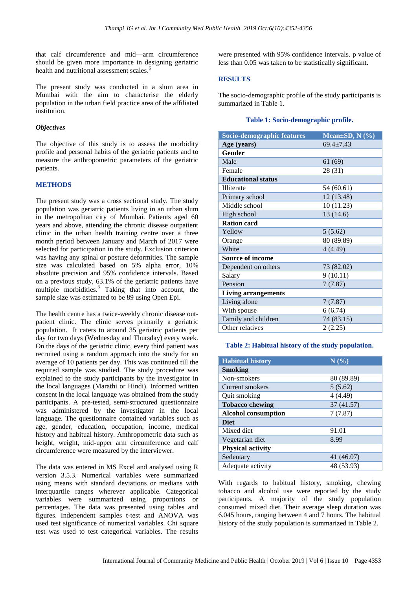that calf circumference and mid—arm circumference should be given more importance in designing geriatric health and nutritional assessment scales. 6

The present study was conducted in a slum area in Mumbai with the aim to characterise the elderly population in the urban field practice area of the affiliated institution.

### *Objectives*

The objective of this study is to assess the morbidity profile and personal habits of the geriatric patients and to measure the anthropometric parameters of the geriatric patients.

# **METHODS**

The present study was a cross sectional study. The study population was geriatric patients living in an urban slum in the metropolitan city of Mumbai. Patients aged 60 years and above, attending the chronic disease outpatient clinic in the urban health training centre over a three month period between January and March of 2017 were selected for participation in the study. Exclusion criterion was having any spinal or posture deformities. The sample size was calculated based on 5% alpha error, 10% absolute precision and 95% confidence intervals. Based on a previous study, 63.1% of the geriatric patients have multiple morbidities.<sup>3</sup> Taking that into account, the sample size was estimated to be 89 using Open Epi.

The health centre has a twice-weekly chronic disease outpatient clinic. The clinic serves primarily a geriatric population. It caters to around 35 geriatric patients per day for two days (Wednesday and Thursday) every week. On the days of the geriatric clinic, every third patient was recruited using a random approach into the study for an average of 10 patients per day. This was continued till the required sample was studied. The study procedure was explained to the study participants by the investigator in the local languages (Marathi or Hindi). Informed written consent in the local language was obtained from the study participants. A pre-tested, semi-structured questionnaire was administered by the investigator in the local language. The questionnaire contained variables such as age, gender, education, occupation, income, medical history and habitual history. Anthropometric data such as height, weight, mid-upper arm circumference and calf circumference were measured by the interviewer.

The data was entered in MS Excel and analysed using R version 3.5.3. Numerical variables were summarized using means with standard deviations or medians with interquartile ranges wherever applicable. Categorical variables were summarized using proportions or percentages. The data was presented using tables and figures. Independent samples t-test and ANOVA was used test significance of numerical variables. Chi square test was used to test categorical variables. The results

were presented with 95% confidence intervals. p value of less than 0.05 was taken to be statistically significant.

#### **RESULTS**

The socio-demographic profile of the study participants is summarized in Table 1.

#### **Table 1: Socio-demographic profile.**

| Socio-demographic features | Mean $\pm SD$ , N $(\% )$ |  |  |
|----------------------------|---------------------------|--|--|
| Age (years)                | $69.4 \pm 7.43$           |  |  |
| Gender                     |                           |  |  |
| Male                       | 61(69)                    |  |  |
| Female                     | 28 (31)                   |  |  |
| <b>Educational status</b>  |                           |  |  |
| Illiterate                 | 54 (60.61)                |  |  |
| Primary school             | 12 (13.48)                |  |  |
| Middle school              | 10 (11.23)                |  |  |
| High school                | 13 (14.6)                 |  |  |
| <b>Ration card</b>         |                           |  |  |
| Yellow                     | 5(5.62)                   |  |  |
| Orange                     | 80 (89.89)                |  |  |
| White                      | 4(4.49)                   |  |  |
| <b>Source of income</b>    |                           |  |  |
| Dependent on others        | 73 (82.02)                |  |  |
| Salary                     | 9(10.11)                  |  |  |
| Pension                    | 7(7.87)                   |  |  |
| <b>Living arrangements</b> |                           |  |  |
| Living alone               | 7(7.87)                   |  |  |
| With spouse                | 6(6.74)                   |  |  |
| Family and children        | 74 (83.15)                |  |  |
| Other relatives            | 2(2.25)                   |  |  |

#### **Table 2: Habitual history of the study population.**

| <b>Habitual history</b>    | N(%)       |
|----------------------------|------------|
| <b>Smoking</b>             |            |
| Non-smokers                | 80 (89.89) |
| Current smokers            | 5(5.62)    |
| Quit smoking               | 4(4.49)    |
| <b>Tobacco chewing</b>     | 37 (41.57) |
| <b>Alcohol consumption</b> | 7(7.87)    |
| <b>Diet</b>                |            |
| Mixed diet                 | 91.01      |
| Vegetarian diet            | 8.99       |
| <b>Physical activity</b>   |            |
| Sedentary                  | 41 (46.07) |
| Adequate activity          | 48 (53.93) |

With regards to habitual history, smoking, chewing tobacco and alcohol use were reported by the study participants. A majority of the study population consumed mixed diet. Their average sleep duration was 6.045 hours, ranging between 4 and 7 hours. The habitual history of the study population is summarized in Table 2.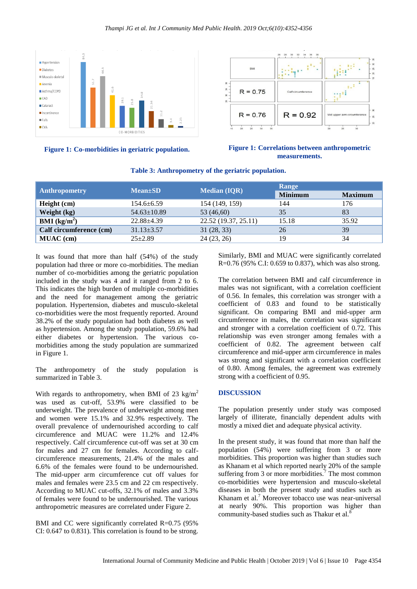#### *Thampi JG et al. Int J Community Med Public Health. 2019 Oct;6(10):4352-4356*





#### **Figure 1: Co-morbidities in geriatric population. Figure 1: Correlations between anthropometric measurements.**

| <b>Anthropometry</b>    | $Mean \pm SD$     | <b>Median (IQR)</b>  | Range          |                |
|-------------------------|-------------------|----------------------|----------------|----------------|
|                         |                   |                      | <b>Minimum</b> | <b>Maximum</b> |
| Height (cm)             | $154.6 \pm 6.59$  | 154 (149, 159)       | 144            | 176            |
| Weight (kg)             | $54.63 \pm 10.89$ | 53 (46,60)           | 35             | 83             |
| <b>BMI</b> ( $kg/m2$ )  | $22.88 \pm 4.39$  | 22.52 (19.37, 25.11) | 15.18          | 35.92          |
| Calf circumference (cm) | $31.13 \pm 3.57$  | 31(28, 33)           | 26             | 39             |
| <b>MUAC</b> (cm)        | $25 \pm 2.89$     | 24(23, 26)           | 19             | 34             |

# **Table 3: Anthropometry of the geriatric population.**

It was found that more than half (54%) of the study population had three or more co-morbidities. The median number of co-morbidities among the geriatric population included in the study was 4 and it ranged from 2 to 6. This indicates the high burden of multiple co-morbidities and the need for management among the geriatric population. Hypertension, diabetes and musculo-skeletal co-morbidities were the most frequently reported. Around 38.2% of the study population had both diabetes as well as hypertension. Among the study population, 59.6% had either diabetes or hypertension. The various comorbidities among the study population are summarized in Figure 1.

The anthropometry of the study population is summarized in Table 3.

With regards to anthropometry, when BMI of 23 kg/m<sup>2</sup> was used as cut-off, 53.9% were classified to be underweight. The prevalence of underweight among men and women were 15.1% and 32.9% respectively. The overall prevalence of undernourished according to calf circumference and MUAC were 11.2% and 12.4% respectively. Calf circumference cut-off was set at 30 cm for males and 27 cm for females. According to calfcircumference measurements, 21.4% of the males and 6.6% of the females were found to be undernourished. The mid-upper arm circumference cut off values for males and females were 23.5 cm and 22 cm respectively. According to MUAC cut-offs, 32.1% of males and 3.3% of females were found to be undernourished. The various anthropometric measures are correlated under Figure 2.

BMI and CC were significantly correlated R=0.75 (95%) CI: 0.647 to 0.831). This correlation is found to be strong. Similarly, BMI and MUAC were significantly correlated R=0.76 (95% C.I: 0.659 to 0.837), which was also strong.

The correlation between BMI and calf circumference in males was not significant, with a correlation coefficient of 0.56. In females, this correlation was stronger with a coefficient of 0.83 and found to be statistically significant. On comparing BMI and mid-upper arm circumference in males, the correlation was significant and stronger with a correlation coefficient of 0.72. This relationship was even stronger among females with a coefficient of 0.82. The agreement between calf circumference and mid-upper arm circumference in males was strong and significant with a correlation coefficient of 0.80. Among females, the agreement was extremely strong with a coefficient of 0.95.

# **DISCUSSION**

The population presently under study was composed largely of illiterate, financially dependent adults with mostly a mixed diet and adequate physical activity.

In the present study, it was found that more than half the population (54%) were suffering from 3 or more morbidities. This proportion was higher than studies such as Khanam et al which reported nearly 20% of the sample suffering from 3 or more morbidities.<sup>7</sup> The most common co-morbidities were hypertension and musculo-skeletal diseases in both the present study and studies such as Khanam et al. $<sup>7</sup>$  Moreover tobacco use was near-universal</sup> at nearly 90%. This proportion was higher than community-based studies such as Thakur et al.<sup>8</sup>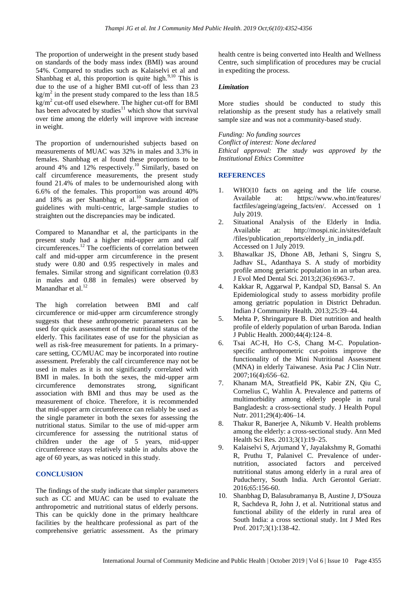The proportion of underweight in the present study based on standards of the body mass index (BMI) was around 54%. Compared to studies such as Kalaiselvi et al and Shanbhag et al, this proportion is quite high. $9,10$  This is due to the use of a higher BMI cut-off of less than 23  $\text{kg/m}^2$  in the present study compared to the less than 18.5  $\text{kg/m}^2$  cut-off used elsewhere. The higher cut-off for BMI has been advocated by studies $11$  which show that survival over time among the elderly will improve with increase in weight.

The proportion of undernourished subjects based on measurements of MUAC was 32% in males and 3.3% in females. Shanbhag et al found these proportions to be around 4% and  $12\%$  respectively.<sup>10</sup> Similarly, based on calf circumference measurements, the present study found 21.4% of males to be undernourished along with 6.6% of the females. This proportion was around 40% and  $18\%$  as per Shanbhag et al.<sup>10</sup> Standardization of guidelines with multi-centric, large-sample studies to straighten out the discrepancies may be indicated.

Compared to Manandhar et al, the participants in the present study had a higher mid-upper arm and calf circumferences.<sup>12</sup> The coefficients of correlation between calf and mid-upper arm circumference in the present study were 0.80 and 0.95 respectively in males and females. Similar strong and significant correlation (0.83 in males and 0.88 in females) were observed by Manandhar et al.<sup>12</sup>

The high correlation between BMI and calf circumference or mid-upper arm circumference strongly suggests that these anthropometric parameters can be used for quick assessment of the nutritional status of the elderly. This facilitates ease of use for the physician as well as risk-free measurement for patients. In a primarycare setting, CC/MUAC may be incorporated into routine assessment. Preferably the calf circumference may not be used in males as it is not significantly correlated with BMI in males. In both the sexes, the mid-upper arm circumference demonstrates strong, significant association with BMI and thus may be used as the measurement of choice. Therefore, it is recommended that mid-upper arm circumference can reliably be used as the single parameter in both the sexes for assessing the nutritional status. Similar to the use of mid-upper arm circumference for assessing the nutritional status of children under the age of 5 years, mid-upper circumference stays relatively stable in adults above the age of 60 years, as was noticed in this study.

# **CONCLUSION**

The findings of the study indicate that simpler parameters such as CC and MUAC can be used to evaluate the anthropometric and nutritional status of elderly persons. This can be quickly done in the primary healthcare facilities by the healthcare professional as part of the comprehensive geriatric assessment. As the primary health centre is being converted into Health and Wellness Centre, such simplification of procedures may be crucial in expediting the process.

# *Limitation*

More studies should be conducted to study this relationship as the present study has a relatively small sample size and was not a community-based study.

*Funding: No funding sources Conflict of interest: None declared Ethical approval: The study was approved by the Institutional Ethics Committee*

# **REFERENCES**

- 1. WHO|10 facts on ageing and the life course. Available at: https://www.who.int/features/ factfiles/ageing/ageing\_facts/en/. Accessed on 1 July 2019.
- 2. Situational Analysis of the Elderly in India. Available at: http://mospi.nic.in/sites/default /files/publication\_reports/elderly\_in\_india.pdf. Accessed on 1 July 2019.
- 3. Bhawalkar JS, Dhone AB, Jethani S, Singru S, Jadhav SL, Adanthaya S. A study of morbidity profile among geriatric population in an urban area. J Evol Med Dental Sci. 2013;2(36):6963-7.
- 4. Kakkar R, Aggarwal P, Kandpal SD, Bansal S. An Epidemiological study to assess morbidity profile among geriatric population in District Dehradun. Indian J Community Health. 2013;25:39–44.
- 5. Mehta P, Shringarpure B. Diet nutrition and health profile of elderly population of urban Baroda. Indian J Public Health. 2000;44(4):124–8.
- 6. Tsai AC-H, Ho C-S, Chang M-C. Populationspecific anthropometric cut-points improve the functionality of the Mini Nutritional Assessment (MNA) in elderly Taiwanese. Asia Pac J Clin Nutr. 2007;16(4):656–62.
- 7. Khanam MA, Streatfield PK, Kabir ZN, Qiu C, Cornelius C, Wahlin Å. Prevalence and patterns of multimorbidity among elderly people in rural Bangladesh: a cross-sectional study. J Health Popul Nutr. 2011;29(4):406–14.
- 8. Thakur R, Banerjee A, Nikumb V. Health problems among the elderly: a cross-sectional study. Ann Med Health Sci Res. 2013;3(1):19–25.
- 9. Kalaiselvi S, Arjumand Y, Jayalakshmy R, Gomathi R, Pruthu T, Palanivel C. Prevalence of undernutrition, associated factors and perceived nutritional status among elderly in a rural area of Puducherry, South India. Arch Gerontol Geriatr. 2016;65:156-60.
- 10. Shanbhag D, Balasubramanya B, Austine J, D'Souza R, Sachdeva R, John J, et al. Nutritional status and functional ability of the elderly in rural area of South India: a cross sectional study. Int J Med Res Prof. 2017;3(1):138-42.